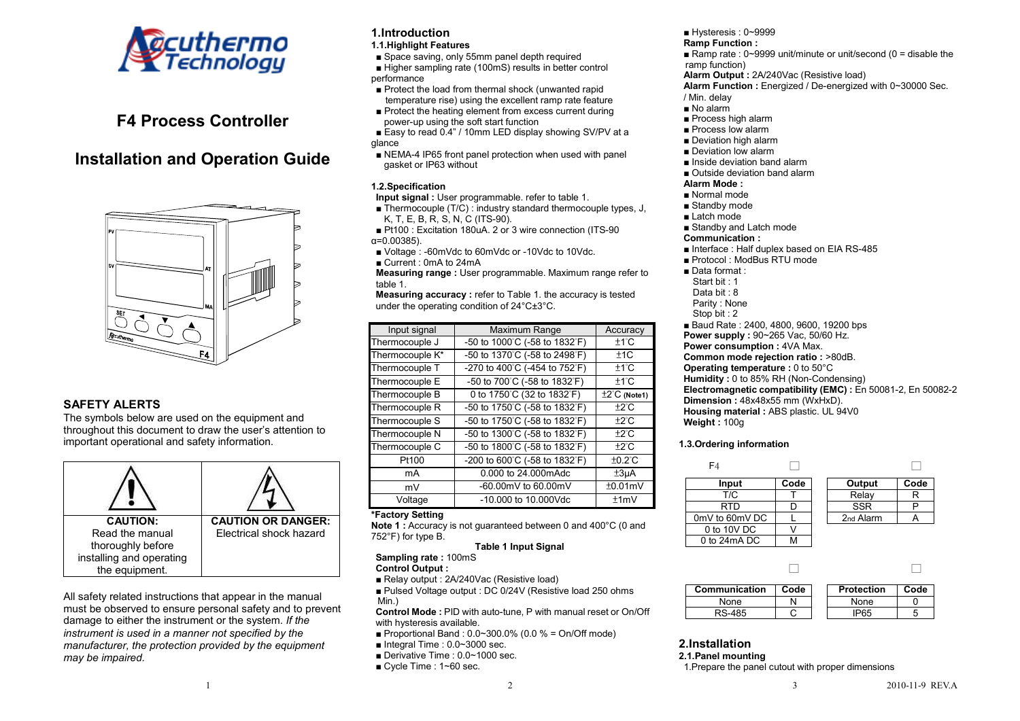

# **F4 Process Controller**

# **Installation and Operation Guide**



# **SAFETY ALERTS**

 The symbols below are used on the equipment and throughout this document to draw the user's attention to important operational and safety information.

| <b>CAUTION:</b>          | <b>CAUTION OR DANGER:</b> |
|--------------------------|---------------------------|
| Read the manual          | Electrical shock hazard   |
| thoroughly before        |                           |
| installing and operating |                           |
| the equipment.           |                           |

All safety related instructions that appear in the manual must be observed to ensure personal safety and to prevent damage to either the instrument or the system. *If the instrument is used in a manner not specified by the manufacturer, the protection provided by the equipment may be impaired.* 

# **1.Introduction**

### **1.1.Highlight Features**

■ Space saving, only 55mm panel depth required

■ Higher sampling rate (100mS) results in better control performance

- Protect the load from thermal shock (unwanted rapid temperature rise) using the excellent ramp rate feature
- Protect the heating element from excess current during power-up using the soft start function
- Easy to read 0.4" / 10mm LED display showing SV/PV at a glance
- NEMA-4 IP65 front panel protection when used with panel gasket or IP63 without

# **1.2.Specification**

 **Input signal :** User programmable. refer to table 1.

- Thermocouple (T/C) : industry standard thermocouple types, J, K, T, E, B, R, S, N, C (ITS-90).
- Pt100 : Excitation 180uA. 2 or 3 wire connection (ITS-90 α=0.00385).
- Voltage : -60mVdc to 60mVdc or -10Vdc to 10Vdc.
- Current : 0mA to 24mA

 **Measuring range :** User programmable. Maximum range refer to table 1.

 **Measuring accuracy :** refer to Table 1. the accuracy is tested under the operating condition of 24°C±3°C.

| Input signal    | Maximum Range                 | Accuracy                  |
|-----------------|-------------------------------|---------------------------|
| Thermocouple J  | -50 to 1000°C (-58 to 1832°F) | $±1^{\circ}$ C            |
| Thermocouple K* | -50 to 1370°C (-58 to 2498°F) | ±1C                       |
| Thermocouple T  | -270 to 400°C (-454 to 752°F) | $±1^{\circ}$ C            |
| Thermocouple E  | -50 to 700°C (-58 to 1832°F)  | $±1^{\circ}$ C            |
| Thermocouple B  | 0 to 1750°C (32 to 1832°F)    | $\pm 2^{\circ}$ C (Note1) |
| Thermocouple R  | -50 to 1750°C (-58 to 1832°F) | $\pm 2^{\circ}$ C         |
| Thermocouple S  | -50 to 1750°C (-58 to 1832°F) | $\pm 2^{\circ}$ C         |
| Thermocouple N  | -50 to 1300°C (-58 to 1832°F) | $\pm 2^{\circ}$ C         |
| Thermocouple C  | -50 to 1800°C (-58 to 1832°F) | $±2^{\circ}$ C            |
| Pt100           | -200 to 600°C (-58 to 1832°F) | $±0.2^{\circ}$ C          |
| mA              | 0.000 to 24.000 mAdc          | ±3 <sub>µ</sub> A         |
| mV              | -60.00mV to 60.00mV           | ±0.01mV                   |
| Voltage         | -10,000 to 10,000Vdc          | ±1mV                      |

# **\*Factory Setting**

 **Note 1 :** Accuracy is not guaranteed between 0 and 400°C (0 and 752°F) for type B.

# **Table 1 Input Signal**

**Sampling rate :** 100mS

**Control Output :** 

■ Relay output : 2A/240Vac (Resistive load)

■ Pulsed Voltage output : DC 0/24V (Resistive load 250 ohms Min.)

 **Control Mode :** PID with auto-tune, P with manual reset or On/Off with hysteresis available.

- $\blacksquare$  Proportional Band : 0.0~300.0% (0.0 % = On/Off mode)
- Integral Time : 0.0~3000 sec.
- Derivative Time : 0.0~1000 sec.
- Cycle Time : 1~60 sec.

■ Hysteresis 0~9999

#### **Ramp Function :**

■ Ramp rate : 0~9999 unit/minute or unit/second (0 = disable the ramp function)

- **Alarm Output :** 2A/240Vac (Resistive load)
- **Alarm Function :** Energized / De-energized with 0~30000 Sec.
- / Min. delay
- No alarm
- Process high alarm
- Process low alarm
- Deviation high alarm
- Deviation low alarm
- Inside deviation band alarm
- Outside deviation band alarm
- **Alarm Mode :**
- Normal mode
- Standby mode
- Latch mode
- Standby and Latch mode
- **Communication :**
- Interface : Half duplex based on EIA RS-485
- Protocol : ModBus RTU mode
- Data format :
- Start bit : 1
- Data bit : 8
- Parity : None
- Stop bit : 2
- Baud Rate : 2400, 4800, 9600, 19200 bps
- **Power supply :** 90~265 Vac, 50/60 Hz.
- **Power consumption: 4VA Max.**
- **Common mode rejection ratio :** >80dB.
- **Operating temperature : 0 to 50°C**
- **Humidity :** 0 to 85% RH (Non-Condensing)
- **Electromagnetic compatibility (EMC) :** En 50081-2, En 50082-2
- **Dimension :** 48x48x55 mm (WxHxD).

 **Housing material :** ABS plastic. UL 94V0 **Weight :** 100g

# **1.3.Ordering information**

| F4             |      |                       |      |
|----------------|------|-----------------------|------|
| Input          | Code | Output                | Code |
| T/C            |      | Relay                 |      |
| RTD            |      | <b>SSR</b>            |      |
| 0mV to 60mV DC |      | 2 <sub>nd</sub> Alarm |      |
| 0 to 10V DC    |      |                       |      |
| 0 to 24mA DC   |      |                       |      |

| Communication | Code | <b>Protection</b> | Code |
|---------------|------|-------------------|------|
| None          |      | None              |      |
| RS-485        |      |                   |      |

# **2.Installation**

**2.1.Panel mounting** 

1.Prepare the panel cutout with proper dimensions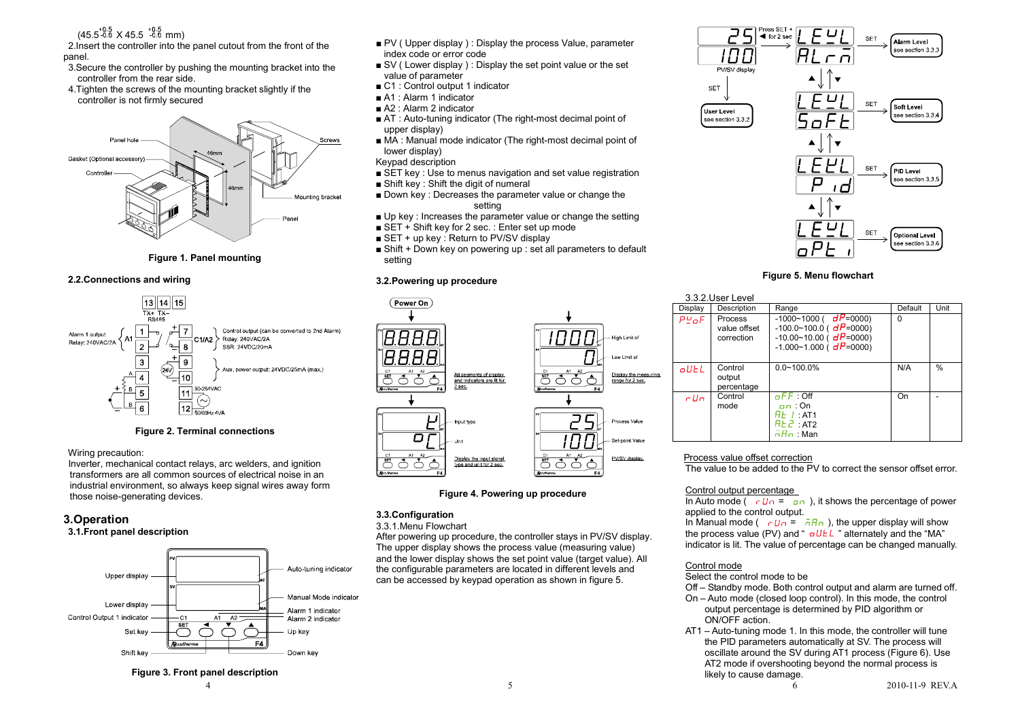$(45.5^{+0.5}_{-0.0}$  X 45.5  $^{+0.5}_{-0.0}$  mm)

 2.Insert the controller into the panel cutout from the front of the panel.

- 3.Secure the controller by pushing the mounting bracket into the controller from the rear side.
- 4.Tighten the screws of the mounting bracket slightly if the controller is not firmly secured



**Figure 1. Panel mounting** 

#### **2.2.Connections and wiring**



#### **Figure 2. Terminal connections**

#### Wiring precaution:

 Inverter, mechanical contact relays, arc welders, and ignition transformers are all common sources of electrical noise in an industrial environment, so always keep signal wires away form those noise-generating devices.

# **3.Operation**

#### **3.1.Front panel description**



- PV ( Upper display ) : Display the process Value, parameter index code or error code
- SV (Lower display): Display the set point value or the set value of parameter
- C1 : Control output 1 indicator
- A1 : Alarm 1 indicator
- A2 : Alarm 2 indicator
- AT : Auto-tuning indicator (The right-most decimal point of upper display)
- MA : Manual mode indicator (The right-most decimal point of lower display)
- Keypad description
- SET key : Use to menus navigation and set value registration
- Shift key : Shift the digit of numeral
- Down key : Decreases the parameter value or change the setting
- Up key : Increases the parameter value or change the setting
- $\overline{\phantom{a}}$  SET + Shift key for 2 sec. : Enter set up mode
- SET + up key : Return to PV/SV display
- Shift + Down key on powering up : set all parameters to default setting

### **3.2.Powering up procedure**



#### **Figure 4. Powering up procedure**

#### **3.3.Configuration**

3.3.1.Menu Flowchart

 After powering up procedure, the controller stays in PV/SV display. The upper display shows the process value (measuring value) and the lower display shows the set point value (target value). All the configurable parameters are located in different levels and can be accessed by keypad operation as shown in figure 5.



#### **Figure 5. Menu flowchart**

|            | 3.3.2. User Level                     |                                                                                                                                            |         |      |  |  |  |
|------------|---------------------------------------|--------------------------------------------------------------------------------------------------------------------------------------------|---------|------|--|--|--|
| Display    | Description                           | Range                                                                                                                                      | Default | Unit |  |  |  |
| $PU$ o $F$ | Process<br>value offset<br>correction | $-1000-1000$ (dF=0000)<br>$-100.0 - 100.0$ ( $dP = 0000$ )<br>$-10.00 - 10.00$ (dP=0000)<br>$-1.000 - 1.000$ ( $dP = 0000$ )               | O       |      |  |  |  |
| oUEL       | Control<br>output<br>percentage       | $0.0 - 100.0\%$                                                                                                                            | N/A     | $\%$ |  |  |  |
| cllo       | Control<br>mode                       | nFF:Off<br>$n \cdot \Omega n$<br>$\overline{H}$ $\overline{L}$ $\cdot$ $l$ $\cdot$ $\overline{AT1}$<br>$H \& E$ : AT2<br>$\bar{n}Hn$ : Man | On      |      |  |  |  |

#### Process value offset correction

The value to be added to the PV to correct the sensor offset error.

#### Control output percentage

In Auto mode  $\left(\begin{array}{cc} -U_{\text{D}} = 0 & \text{in} \end{array}\right)$ , it shows the percentage of power applied to the control output.

In Manual mode ( $\sqrt{U} = \overline{a}R_{\theta}$ ), the upper display will show the process value (PV) and "  $dE^L$ " alternately and the "MA" indicator is lit. The value of percentage can be changed manually.

# Control mode

Select the control mode to be

- Off Standby mode. Both control output and alarm are turned off.
- On Auto mode (closed loop control). In this mode, the control output percentage is determined by PID algorithm orON/OFF action.
- AT1 Auto-tuning mode 1. In this mode, the controller will tune the PID parameters automatically at SV. The process will oscillate around the SV during AT1 process (Figure 6). Use AT2 mode if overshooting beyond the normal process is likely to cause damage.

**Figure 3. Front panel description**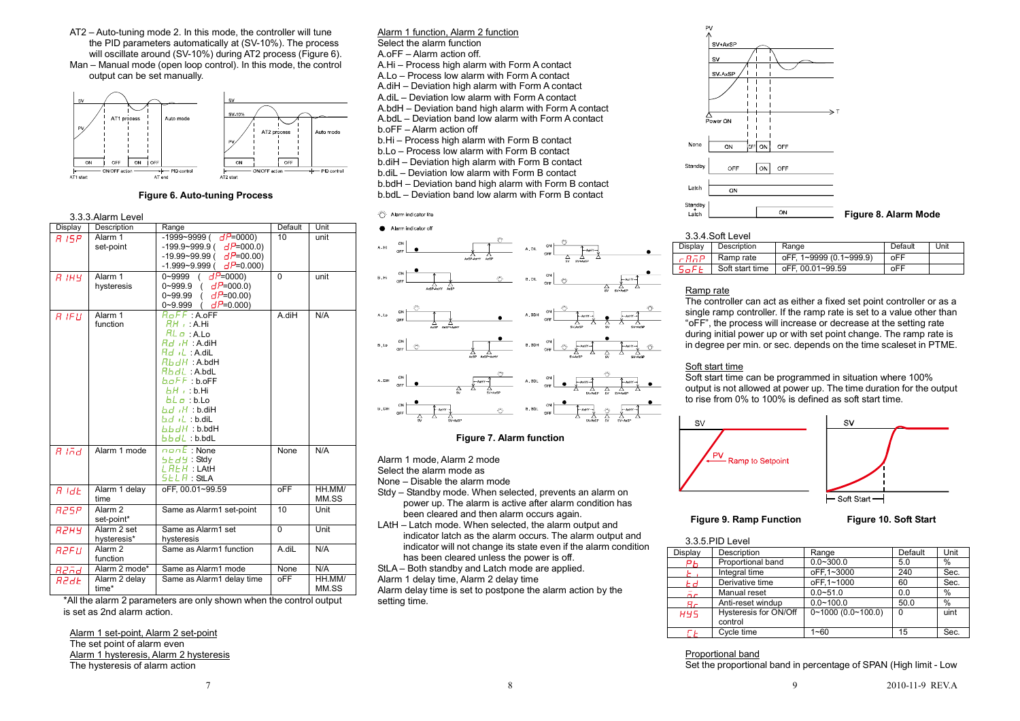AT2 – Auto-tuning mode 2. In this mode, the controller will tune the PID parameters automatically at (SV-10%). The process will oscillate around (SV-10%) during AT2 process (Figure 6). Man – Manual mode (open loop control). In this mode, the control output can be set manually.



#### **Figure 6. Auto-tuning Process**

|              | 3.3.3. Alarm Level               |                                                                                                                                                                                                                                                                                                     |            |                 |
|--------------|----------------------------------|-----------------------------------------------------------------------------------------------------------------------------------------------------------------------------------------------------------------------------------------------------------------------------------------------------|------------|-----------------|
| Display      | Description                      | Range                                                                                                                                                                                                                                                                                               | Default    | Unit            |
| 8 15P        | Alarm 1<br>set-point             | $-1999 - 9999$ (dP=0000)<br>$-199.9 - 999.9$ (dP=000.0)<br>$-19.99 - 99.99$ (dP=00.00)<br>-1.999~9.999(<br>$dP = 0.000$                                                                                                                                                                             | 10         | unit            |
| $R$ $1H$ $4$ | Alarm 1<br>hysteresis            | $dP = 0000$<br>0~9999<br>$\overline{(\ }$<br>0~999.9<br>$dP = 000.0$<br>$\left($<br>0~99.99<br>$dP = 00.00$<br>$dP = 0.000$<br>0~9.999                                                                                                                                                              | $\Omega$   | unit            |
| $R$ IFII     | Alarm 1<br>function              | $R$ <sub>O</sub> $FF$ : A. oFF<br>$RH \rightarrow A.Hi$<br>$RLO$ : A.Lo<br>$Rd$ $H$ : A.diH<br><i>Rd +</i> L : A.diL<br>$R$ b d $H$ : A.bdH<br>$Rb$ d $L$ : A.bd $L$<br>b.oFF:b.oFF<br>$LH +$ : b.Hi<br>$b \cdot b = b \cdot b$<br>$bd$ $H : b.dH$<br>bd(L:b.dil<br>b b dH : b.b dH<br>b.b.dl:b.bdL | A.diH      | N/A             |
| $R$ lad      | Alarm 1 mode                     | $\overline{\mathsf{name}}$ : None<br>$5Ed9$ : Stdy<br>$L$ $R$ $L$ $H$ : LAtH<br>$5ELB$ : StLA                                                                                                                                                                                                       | None       | N/A             |
| $A$ $dE$     | Alarm 1 delay<br>time            | oFF. 00.01~99.59                                                                                                                                                                                                                                                                                    | oFF        | HH.MM/<br>MM.SS |
| <b>R25P</b>  | Alarm <sub>2</sub><br>set-point* | Same as Alarm1 set-point                                                                                                                                                                                                                                                                            | 10         | Unit            |
| RZHY         | Alarm 2 set<br>hysteresis*       | Same as Alarm1 set<br>hysteresis                                                                                                                                                                                                                                                                    | $\Omega$   | Unit            |
| <b>R2FU</b>  | Alarm <sub>2</sub><br>function   | Same as Alarm1 function                                                                                                                                                                                                                                                                             | A.diL      | N/A             |
| R2Fd         | Alarm 2 mode*                    | Same as Alarm1 mode                                                                                                                                                                                                                                                                                 | None       | N/A             |
| R2dE         | Alarm 2 delay<br>time*           | Same as Alarm1 delay time                                                                                                                                                                                                                                                                           | <b>oFF</b> | HH.MM/<br>MM.SS |

\*All the alarm 2 parameters are only shown when the control output is set as 2nd alarm action.

Alarm 1 set-point, Alarm 2 set-pointThe set point of alarm even Alarm 1 hysteresis, Alarm 2 hysteresisThe hysteresis of alarm action

Alarm 1 function, Alarm 2 functionSelect the alarm function A.oFF – Alarm action off. A.Hi – Process high alarm with Form A contact A.Lo – Process low alarm with Form A contact A.diH – Deviation high alarm with Form A contact A.diL – Deviation low alarm with Form A contact A.bdH – Deviation band high alarm with Form A contact A.bdL – Deviation band low alarm with Form A contact b.oFF – Alarm action off b.Hi – Process high alarm with Form B contact b.Lo – Process low alarm with Form B contact b.diH – Deviation high alarm with Form B contact b.diL – Deviation low alarm with Form B contact b.bdH – Deviation band high alarm with Form B contact

b.bdL – Deviation band low alarm with Form B contact





#### **Figure 7. Alarm function**

Alarm 1 mode, Alarm 2 mode

Select the alarm mode as

None – Disable the alarm mode

- Stdy Standby mode. When selected, prevents an alarm on power up. The alarm is active after alarm condition has been cleared and then alarm occurs again.
- LAtH Latch mode. When selected, the alarm output and indicator latch as the alarm occurs. The alarm output and indicator will not change its state even if the alarm condition has been cleared unless the power is off.

StLA – Both standby and Latch mode are applied.

Alarm 1 delay time, Alarm 2 delay time

 Alarm delay time is set to postpone the alarm action by the setting time.



#### 3.3.4.Soft Level

| Display     | Description     | Range                   | Default | Unit |
|-------------|-----------------|-------------------------|---------|------|
| cBāP        | Ramp rate       | oFF. 1~9999 (0.1~999.9) | oFF     |      |
| <i>SoFE</i> | Soft start time | oFF. 00.01~99.59        | oFF     |      |

# Ramp rate

 The controller can act as either a fixed set point controller or as a single ramp controller. If the ramp rate is set to a value other than "oFF", the process will increase or decrease at the setting rate during initial power up or with set point change. The ramp rate is in degree per min. or sec. depends on the time scaleset in PTME.

#### Soft start time

 Soft start time can be programmed in situation where 100% output is not allowed at power up. The time duration for the output to rise from 0% to 100% is defined as soft start time.



**Figure 9. Ramp Function Figure 10. Soft Start** 

3.3.5.PID Level

|  |  |  | וט ווטט וט. טאו ז |  |
|--|--|--|-------------------|--|
|  |  |  |                   |  |

|            | J.J.J.FID LEVEI                  |                        |         |      |  |  |
|------------|----------------------------------|------------------------|---------|------|--|--|
| Display    | Description                      | Range                  | Default | Unit |  |  |
| PЬ         | Proportional band                | $0.0 - 300.0$          | 5.0     | %    |  |  |
|            | Integral time                    | oFF.1~3000             | 240     | Sec. |  |  |
| Еd         | Derivative time                  | oFF.1~1000             | 60      | Sec. |  |  |
| $\bar{p}$  | Manual reset                     | $0.0 - 51.0$           | 0.0     | $\%$ |  |  |
| Яr         | Anti-reset windup                | $0.0 - 100.0$          | 50.0    | %    |  |  |
| <b>H45</b> | Hysteresis for ON/Off<br>control | $0~1000$ $(0.0~100.0)$ | 0       | uint |  |  |
|            | Cycle time                       | $1 - 60$               | 15      | Sec. |  |  |

#### Proportional band

Set the proportional band in percentage of SPAN (High limit - Low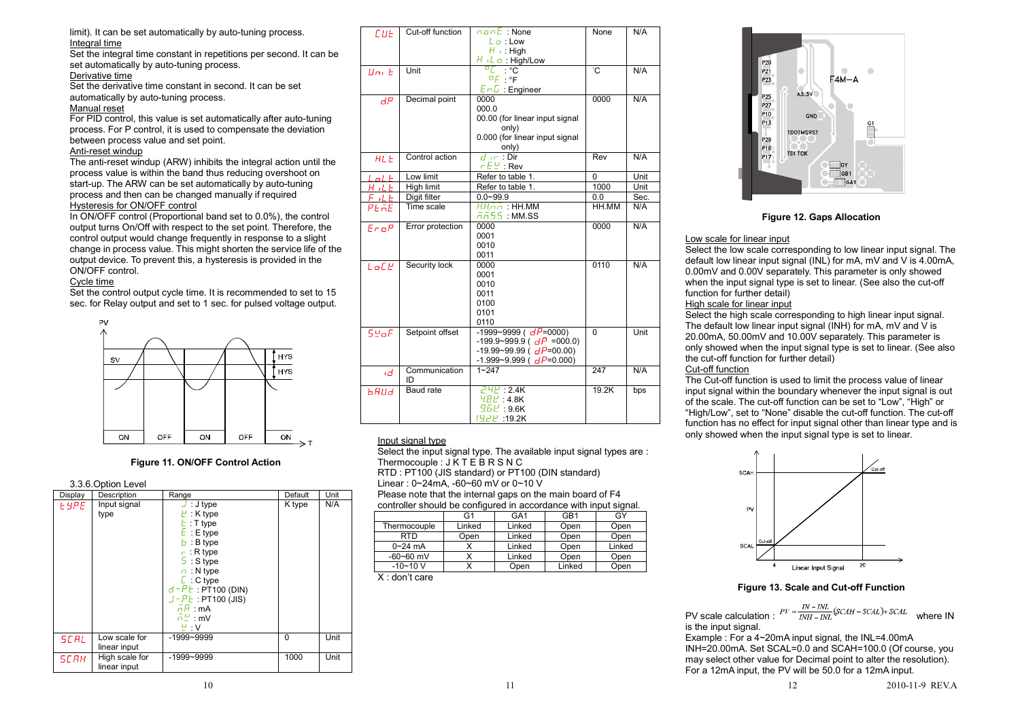limit). It can be set automatically by auto-tuning process. Integral time

 Set the integral time constant in repetitions per second. It can be set automatically by auto-tuning process.

#### Derivative time

 Set the derivative time constant in second. It can be set automatically by auto-tuning process.

#### Manual reset

 For PID control, this value is set automatically after auto-tuning process. For P control, it is used to compensate the deviation between process value and set point.

### Anti-reset windup

 The anti-reset windup (ARW) inhibits the integral action until the process value is within the band thus reducing overshoot on start-up. The ARW can be set automatically by auto-tuning process and then can be changed manually if required Hysteresis for ON/OFF control

 In ON/OFF control (Proportional band set to 0.0%), the control output turns On/Off with respect to the set point. Therefore, the control output would change frequently in response to a slight change in process value. This might shorten the service life of the output device. To prevent this, a hysteresis is provided in the ON/OFF control.

# Cycle time

 Set the control output cycle time. It is recommended to set to 15 sec. for Relay output and set to 1 sec. for pulsed voltage output.



#### **Figure 11. ON/OFF Control Action**

3.3.6.Option Level

| Display      | $0.0.0.0$ PHOTED TO<br>Description | Range                                                                                                                                                                                                                                                                                                                    | Default | Unit |
|--------------|------------------------------------|--------------------------------------------------------------------------------------------------------------------------------------------------------------------------------------------------------------------------------------------------------------------------------------------------------------------------|---------|------|
| <b>E</b> APE | Input signal<br>type               | $\cup$ : J type<br>$E :$ K type<br>$t :$ T type<br>$E : E$ type<br>$b : B$ type<br>$\vdash$ : R type<br>$\frac{5}{7}$ : S type<br>$\sqrt{n}$ : N type<br>$\Gamma$ : C type<br>$d$ - $P$ $t$ : PT100 (DIN)<br>$J - P E$ : PT100 (JIS)<br>$\overline{h}H$ : mA<br>$\bar{n} \stackrel{\omega}{=}$ : mV<br>$\frac{U}{2}$ : V | K type  | N/A  |
| <b>SCAL</b>  | Low scale for<br>linear input      | $-1999 - 9999$                                                                                                                                                                                                                                                                                                           | 0       | Unit |
| <b>SCAH</b>  | High scale for<br>linear input     | $-1999 - 9999$                                                                                                                                                                                                                                                                                                           | 1000    | Unit |

| C U E         | Cut-off function  | nant:None                               | None           | N/A  |
|---------------|-------------------|-----------------------------------------|----------------|------|
|               |                   | $L\varphi$ : Low                        |                |      |
|               |                   | $H_{\perp}$ : High                      |                |      |
|               |                   | $H/L \varphi$ : High/Low                |                |      |
| $\text{Im }F$ | Unit              | ں∘ . ا <sub>ם</sub>                     | ٣Ĉ             | N/A  |
|               |                   | $DF \cdot \circ F$                      |                |      |
|               |                   | $E \cap E$ : Engineer                   |                |      |
| dP            | Decimal point     | 0000                                    | 0000           | N/A  |
|               |                   | 000.0                                   |                |      |
|               |                   | 00.00 (for linear input signal<br>only) |                |      |
|               |                   | 0.000 (for linear input signal          |                |      |
|               |                   | only)                                   |                |      |
| <b>ACE</b>    | Control action    | $d \in \mathcal{D}$ ir                  | Rev            | N/A  |
|               |                   | $FEL$ : Rev                             |                |      |
| LnLE          | Low limit         | Refer to table 1.                       | $\overline{0}$ | Unit |
| HILE          | <b>High limit</b> | Refer to table 1.                       | 1000           | Unit |
| FILE          | Digit filter      | $0.0 - 99.9$                            | 0.0            | Sec. |
| PEAE          | Time scale        | $HH\bar{a}\bar{a}$ : HH.MM              | HH.MM          | N/A  |
|               |                   | កក55 : MM.SS                            |                |      |
| EroP          | Error protection  | 0000                                    | 0000           | N/A  |
|               |                   | 0001                                    |                |      |
|               |                   | 0010                                    |                |      |
|               |                   | 0011                                    |                |      |
| $L$ o $E$ $E$ | Security lock     | 0000                                    | 0110           | N/A  |
|               |                   | 0001                                    |                |      |
|               |                   | 0010<br>0011                            |                |      |
|               |                   | 0100                                    |                |      |
|               |                   | 0101                                    |                |      |
|               |                   | 0110                                    |                |      |
| 5.4           | Setpoint offset   | $-1999 - 9999$ ( $dP = 0000$ )          | $\overline{0}$ | Unit |
|               |                   | -199.9~999.9 ( $dP = 000.0$ )           |                |      |
|               |                   | $-19.99 - 99.99$ ( $dP = 00.00$ )       |                |      |
|               |                   | $-1.999 - 9.999$ ( $dP = 0.000$ )       |                |      |
| ıd            | Communication     | $1 - 247$                               | 247            | N/A  |
|               | ID                |                                         |                |      |
| ьяца          | <b>Baud</b> rate  | 741 : 2.4K                              | 19.2K          | bps  |
|               |                   | HBE:4.8K                                |                |      |
|               |                   | $9.6E$ : 9.6K                           |                |      |
|               |                   | 19.2H :19.2K                            |                |      |

#### Input signal type

 Select the input signal type. The available input signal types are : Thermocouple : J K T E B R S N C RTD : PT100 (JIS standard) or PT100 (DIN standard) Linear : 0~24mA, -60~60 mV or 0~10 V

 Please note that the internal gaps on the main board of F4 controller should be configured in accordance with input signal.

| .             |        |                 |                 |        |  |  |  |
|---------------|--------|-----------------|-----------------|--------|--|--|--|
|               | G1     | GA <sub>1</sub> | GB <sub>1</sub> | GY     |  |  |  |
| Thermocouple  | Linked | Linked          | Open            | Open   |  |  |  |
| <b>RTD</b>    | Open   | Linked          | Open            | Open   |  |  |  |
| $0 - 24$ mA   |        | Linked          | Open            | Linked |  |  |  |
| $-60 - 60$ mV |        | Linked          | Open            | Open   |  |  |  |
| $-10 - 10$ V  |        | Open            | Linked          | Open   |  |  |  |
| - -<br>.      |        |                 |                 |        |  |  |  |

X : don't care



#### **Figure 12. Gaps Allocation**

#### Low scale for linear input

 Select the low scale corresponding to low linear input signal. The default low linear input signal (INL) for mA, mV and V is 4.00mA, 0.00mV and 0.00V separately. This parameter is only showed when the input signal type is set to linear. (See also the cut-off function for further detail)

#### High scale for linear input

 Select the high scale corresponding to high linear input signal. The default low linear input signal (INH) for mA, mV and  $\overline{V}$  is 20.00mA, 50.00mV and 10.00V separately. This parameter is only showed when the input signal type is set to linear. (See also the cut-off function for further detail)

# Cut-off function

 The Cut-off function is used to limit the process value of linear input signal within the boundary whenever the input signal is out of the scale. The cut-off function can be set to "Low", "High" or "High/Low", set to "None" disable the cut-off function. The cut-off function has no effect for input signal other than linear type and is only showed when the input signal type is set to linear.



#### **Figure 13. Scale and Cut-off Function**

PV scale calculation :  $PV = \frac{IN - INL}{INH - INT} (SCAH - SCAL) + SCAL$  where IN is the input signal.

 Example : For a 4~20mA input signal, the INL=4.00mA INH=20.00mA. Set SCAL=0.0 and SCAH=100.0 (Of course, you may select other value for Decimal point to alter the resolution). For a 12mA input, the PV will be 50.0 for a 12mA input.